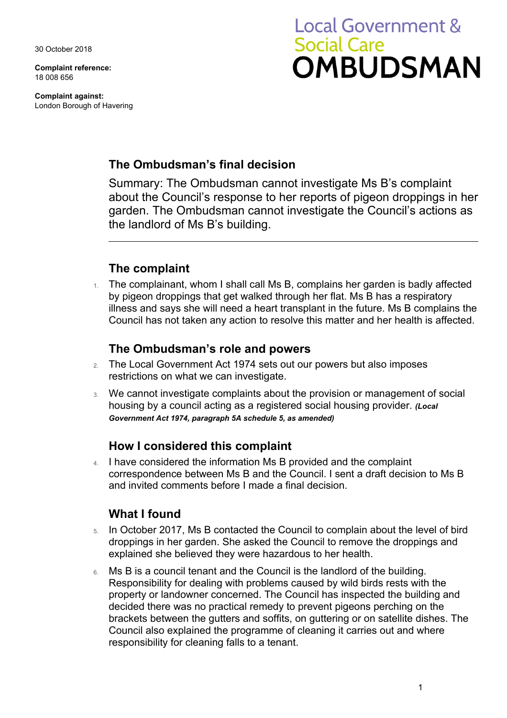30 October 2018

**Complaint reference:**  18 008 656

**Complaint against:**  London Borough of Havering

# **Local Government & Social Care OMBUDSMAN**

## **The Ombudsman's final decision**

Summary: The Ombudsman cannot investigate Ms B's complaint about the Council's response to her reports of pigeon droppings in her garden. The Ombudsman cannot investigate the Council's actions as the landlord of Ms B's building.

# **The complaint**

1. The complainant, whom I shall call Ms B, complains her garden is badly affected by pigeon droppings that get walked through her flat. Ms B has a respiratory illness and says she will need a heart transplant in the future. Ms B complains the Council has not taken any action to resolve this matter and her health is affected.

#### **The Ombudsman's role and powers**

- 2. The Local Government Act 1974 sets out our powers but also imposes restrictions on what we can investigate.
- 3. We cannot investigate complaints about the provision or management of social housing by a council acting as a registered social housing provider. *(Local Government Act 1974, paragraph 5A schedule 5, as amended)*

#### **How I considered this complaint**

4. I have considered the information Ms B provided and the complaint correspondence between Ms B and the Council. I sent a draft decision to Ms B and invited comments before I made a final decision.

# **What I found**

- 5. In October 2017, Ms B contacted the Council to complain about the level of bird droppings in her garden. She asked the Council to remove the droppings and explained she believed they were hazardous to her health.
- 6. Ms B is a council tenant and the Council is the landlord of the building. Responsibility for dealing with problems caused by wild birds rests with the property or landowner concerned. The Council has inspected the building and decided there was no practical remedy to prevent pigeons perching on the brackets between the gutters and soffits, on guttering or on satellite dishes. The Council also explained the programme of cleaning it carries out and where responsibility for cleaning falls to a tenant.